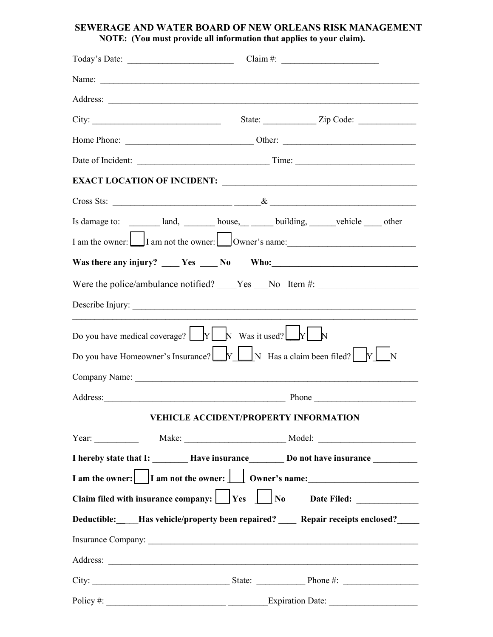## **SEWERAGE AND WATER BOARD OF NEW ORLEANS RISK MANAGEMENT NOTE: (You must provide all information that applies to your claim).**

|                                                                                                                                                 |  | Claim #: $\frac{2}{\sqrt{2}}$                                                                                                                                                                                                        |
|-------------------------------------------------------------------------------------------------------------------------------------------------|--|--------------------------------------------------------------------------------------------------------------------------------------------------------------------------------------------------------------------------------------|
|                                                                                                                                                 |  |                                                                                                                                                                                                                                      |
|                                                                                                                                                 |  |                                                                                                                                                                                                                                      |
|                                                                                                                                                 |  |                                                                                                                                                                                                                                      |
|                                                                                                                                                 |  |                                                                                                                                                                                                                                      |
|                                                                                                                                                 |  |                                                                                                                                                                                                                                      |
|                                                                                                                                                 |  |                                                                                                                                                                                                                                      |
|                                                                                                                                                 |  |                                                                                                                                                                                                                                      |
|                                                                                                                                                 |  |                                                                                                                                                                                                                                      |
|                                                                                                                                                 |  |                                                                                                                                                                                                                                      |
|                                                                                                                                                 |  |                                                                                                                                                                                                                                      |
|                                                                                                                                                 |  | Were the police/ambulance notified? ____Yes ___No ltem #: ______________________                                                                                                                                                     |
|                                                                                                                                                 |  |                                                                                                                                                                                                                                      |
| Do you have medical coverage? $\boxed{\phantom{\text{a}}\mathbb{N}}$ Was it used? $\boxed{\phantom{\text{b}}\mathbb{N}}$                        |  |                                                                                                                                                                                                                                      |
| Do you have Homeowner's Insurance? $\underbrace{\bigsqcup_{N} \bigsqcup_{N}$ Has a claim been filed? $\underbrace{\bigsqcup_{N} \bigsqcup_{N}}$ |  |                                                                                                                                                                                                                                      |
|                                                                                                                                                 |  |                                                                                                                                                                                                                                      |
|                                                                                                                                                 |  | Phone                                                                                                                                                                                                                                |
|                                                                                                                                                 |  | VEHICLE ACCIDENT/PROPERTY INFORMATION                                                                                                                                                                                                |
|                                                                                                                                                 |  |                                                                                                                                                                                                                                      |
|                                                                                                                                                 |  | I hereby state that I: _________ Have insurance__________ Do not have insurance ___________                                                                                                                                          |
|                                                                                                                                                 |  |                                                                                                                                                                                                                                      |
|                                                                                                                                                 |  | Claim filed with insurance company: $\Box$ Yes $\Box$ No Date Filed: ____________                                                                                                                                                    |
|                                                                                                                                                 |  | Deductible: Has vehicle/property been repaired? Repair receipts enclosed?                                                                                                                                                            |
|                                                                                                                                                 |  |                                                                                                                                                                                                                                      |
|                                                                                                                                                 |  | Address: <u>the contract of the contract of the contract of the contract of the contract of the contract of the contract of the contract of the contract of the contract of the contract of the contract of the contract of the </u> |
|                                                                                                                                                 |  |                                                                                                                                                                                                                                      |
|                                                                                                                                                 |  |                                                                                                                                                                                                                                      |